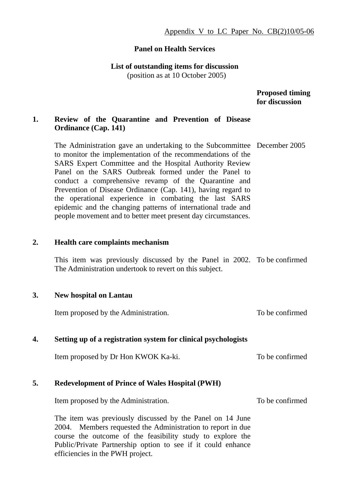#### **Panel on Health Services**

**List of outstanding items for discussion** 

(position as at 10 October 2005)

 **Proposed timing for discussion** 

# **1. Review of the Quarantine and Prevention of Disease Ordinance (Cap. 141)**

The Administration gave an undertaking to the Subcommittee December 2005 to monitor the implementation of the recommendations of the SARS Expert Committee and the Hospital Authority Review Panel on the SARS Outbreak formed under the Panel to conduct a comprehensive revamp of the Quarantine and Prevention of Disease Ordinance (Cap. 141), having regard to the operational experience in combating the last SARS epidemic and the changing patterns of international trade and people movement and to better meet present day circumstances.

### **2. Health care complaints mechanism**

This item was previously discussed by the Panel in 2002. To be confirmed The Administration undertook to revert on this subject.

### **3. New hospital on Lantau**

Item proposed by the Administration. To be confirmed

### **4. Setting up of a registration system for clinical psychologists**

Item proposed by Dr Hon KWOK Ka-ki. To be confirmed

### **5. Redevelopment of Prince of Wales Hospital (PWH)**

Item proposed by the Administration.

To be confirmed

The item was previously discussed by the Panel on 14 June 2004. Members requested the Administration to report in due course the outcome of the feasibility study to explore the Public/Private Partnership option to see if it could enhance efficiencies in the PWH project.